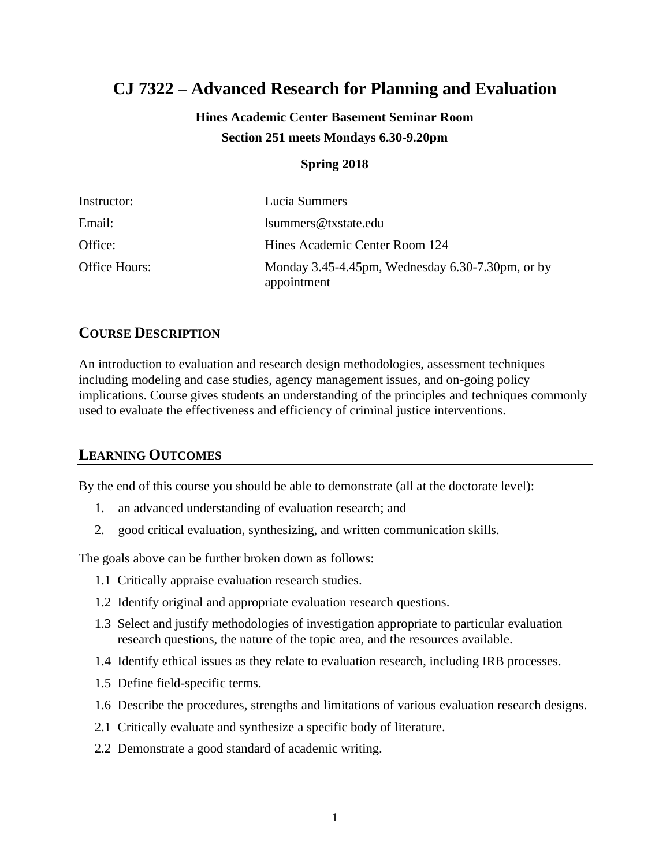# **CJ 7322 – Advanced Research for Planning and Evaluation**

# **Hines Academic Center Basement Seminar Room Section 251 meets Mondays 6.30-9.20pm**

#### **Spring 2018**

| Instructor:   | Lucia Summers                                                   |
|---------------|-----------------------------------------------------------------|
| Email:        | lsummers@txstate.edu                                            |
| Office:       | Hines Academic Center Room 124                                  |
| Office Hours: | Monday 3.45-4.45pm, Wednesday 6.30-7.30pm, or by<br>appointment |

### **COURSE DESCRIPTION**

An introduction to evaluation and research design methodologies, assessment techniques including modeling and case studies, agency management issues, and on-going policy implications. Course gives students an understanding of the principles and techniques commonly used to evaluate the effectiveness and efficiency of criminal justice interventions.

### **LEARNING OUTCOMES**

By the end of this course you should be able to demonstrate (all at the doctorate level):

- 1. an advanced understanding of evaluation research; and
- 2. good critical evaluation, synthesizing, and written communication skills.

The goals above can be further broken down as follows:

- 1.1 Critically appraise evaluation research studies.
- 1.2 Identify original and appropriate evaluation research questions.
- 1.3 Select and justify methodologies of investigation appropriate to particular evaluation research questions, the nature of the topic area, and the resources available.
- 1.4 Identify ethical issues as they relate to evaluation research, including IRB processes.
- 1.5 Define field-specific terms.
- 1.6 Describe the procedures, strengths and limitations of various evaluation research designs.
- 2.1 Critically evaluate and synthesize a specific body of literature.
- 2.2 Demonstrate a good standard of academic writing.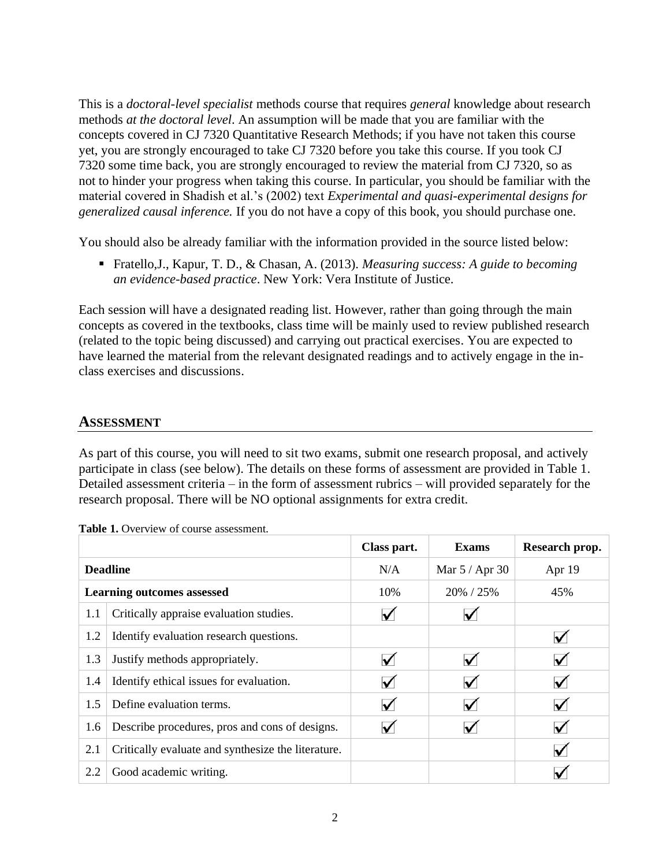This is a *doctoral-level specialist* methods course that requires *general* knowledge about research methods *at the doctoral level*. An assumption will be made that you are familiar with the concepts covered in CJ 7320 Quantitative Research Methods; if you have not taken this course yet, you are strongly encouraged to take CJ 7320 before you take this course. If you took CJ 7320 some time back, you are strongly encouraged to review the material from CJ 7320, so as not to hinder your progress when taking this course. In particular, you should be familiar with the material covered in Shadish et al.'s (2002) text *Experimental and quasi-experimental designs for generalized causal inference.* If you do not have a copy of this book, you should purchase one.

You should also be already familiar with the information provided in the source listed below:

■ Fratello, J., Kapur, T. D., & Chasan, A. (2013). *Measuring success: A guide to becoming an evidence-based practice*. New York: Vera Institute of Justice.

Each session will have a designated reading list. However, rather than going through the main concepts as covered in the textbooks, class time will be mainly used to review published research (related to the topic being discussed) and carrying out practical exercises. You are expected to have learned the material from the relevant designated readings and to actively engage in the inclass exercises and discussions.

### **ASSESSMENT**

As part of this course, you will need to sit two exams, submit one research proposal, and actively participate in class (see below). The details on these forms of assessment are provided in Table 1. Detailed assessment criteria – in the form of assessment rubrics – will provided separately for the research proposal. There will be NO optional assignments for extra credit.

|                 |                                                    | Class part.  | <b>Exams</b>     | Research prop.       |
|-----------------|----------------------------------------------------|--------------|------------------|----------------------|
| <b>Deadline</b> |                                                    | N/A          | Mar $5 /$ Apr 30 | Apr 19               |
|                 | <b>Learning outcomes assessed</b>                  | 10%          | 20% / 25%        | 45%                  |
| 1.1             | Critically appraise evaluation studies.            |              |                  |                      |
| 1.2             | Identify evaluation research questions.            |              |                  | $\blacktriangledown$ |
| 1.3             | Justify methods appropriately.                     |              | $\checkmark$     | $\blacktriangledown$ |
| 1.4             | Identify ethical issues for evaluation.            | $\checkmark$ | $\checkmark$     | $\blacktriangledown$ |
| 1.5             | Define evaluation terms.                           | $\checkmark$ | $\checkmark$     | $\blacktriangledown$ |
| 1.6             | Describe procedures, pros and cons of designs.     |              |                  | $\blacktriangledown$ |
| 2.1             | Critically evaluate and synthesize the literature. |              |                  | $\blacktriangledown$ |
| 2.2             | Good academic writing.                             |              |                  | $\checkmark$         |

|  | Table 1. Overview of course assessment. |
|--|-----------------------------------------|
|  |                                         |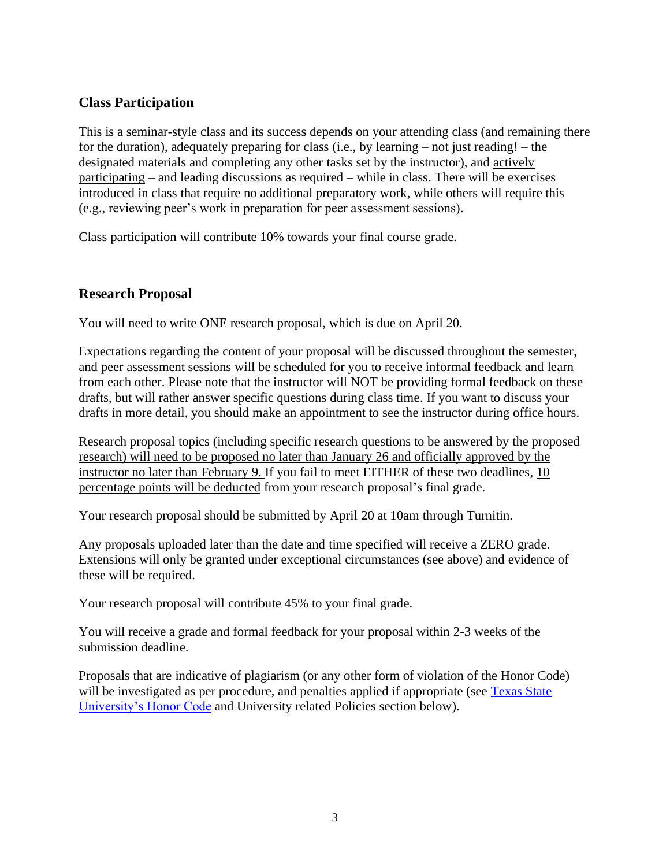### **Class Participation**

This is a seminar-style class and its success depends on your attending class (and remaining there for the duration), adequately preparing for class (i.e., by learning – not just reading! – the designated materials and completing any other tasks set by the instructor), and actively participating – and leading discussions as required – while in class. There will be exercises introduced in class that require no additional preparatory work, while others will require this (e.g., reviewing peer's work in preparation for peer assessment sessions).

Class participation will contribute 10% towards your final course grade.

### **Research Proposal**

You will need to write ONE research proposal, which is due on April 20.

Expectations regarding the content of your proposal will be discussed throughout the semester, and peer assessment sessions will be scheduled for you to receive informal feedback and learn from each other. Please note that the instructor will NOT be providing formal feedback on these drafts, but will rather answer specific questions during class time. If you want to discuss your drafts in more detail, you should make an appointment to see the instructor during office hours.

Research proposal topics (including specific research questions to be answered by the proposed research) will need to be proposed no later than January 26 and officially approved by the instructor no later than February 9. If you fail to meet EITHER of these two deadlines, 10 percentage points will be deducted from your research proposal's final grade.

Your research proposal should be submitted by April 20 at 10am through Turnitin.

Any proposals uploaded later than the date and time specified will receive a ZERO grade. Extensions will only be granted under exceptional circumstances (see above) and evidence of these will be required.

Your research proposal will contribute 45% to your final grade.

You will receive a grade and formal feedback for your proposal within 2-3 weeks of the submission deadline.

Proposals that are indicative of plagiarism (or any other form of violation of the Honor Code) will be investigated as per procedure, and penalties applied if appropriate (see Texas State [University's Honor Code](http://www.txstate.edu/effective/upps/upps-07-10-01.html) and University related Policies section below).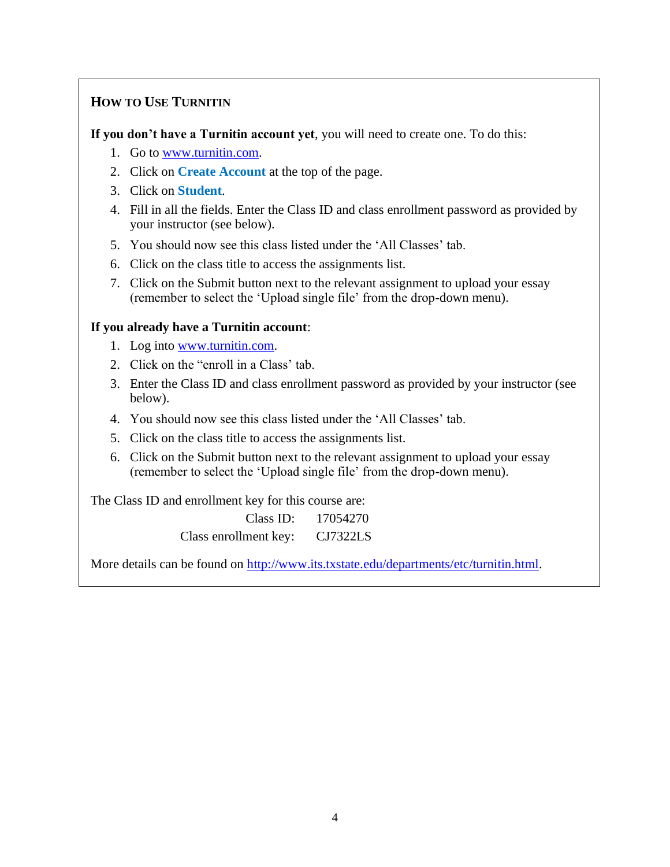## **HOW TO USE TURNITIN**

**If you don't have a Turnitin account yet**, you will need to create one. To do this:

- 1. Go to [www.turnitin.com.](http://www.turnitin.com/)
- 2. Click on **Create Account** at the top of the page.
- 3. Click on **Student**.
- 4. Fill in all the fields. Enter the Class ID and class enrollment password as provided by your instructor (see below).
- 5. You should now see this class listed under the 'All Classes' tab.
- 6. Click on the class title to access the assignments list.
- 7. Click on the Submit button next to the relevant assignment to upload your essay (remember to select the 'Upload single file' from the drop-down menu).

#### **If you already have a Turnitin account**:

- 1. Log into [www.turnitin.com.](http://www.turnitin.com/)
- 2. Click on the "enroll in a Class' tab.
- 3. Enter the Class ID and class enrollment password as provided by your instructor (see below).
- 4. You should now see this class listed under the 'All Classes' tab.
- 5. Click on the class title to access the assignments list.
- 6. Click on the Submit button next to the relevant assignment to upload your essay (remember to select the 'Upload single file' from the drop-down menu).

The Class ID and enrollment key for this course are:

| Class ID:             | 17054270        |
|-----------------------|-----------------|
| Class enrollment key: | <b>CJ7322LS</b> |

More details can be found on [http://www.its.txstate.edu/departments/etc/turnitin.html.](http://www.its.txstate.edu/departments/etc/turnitin.html)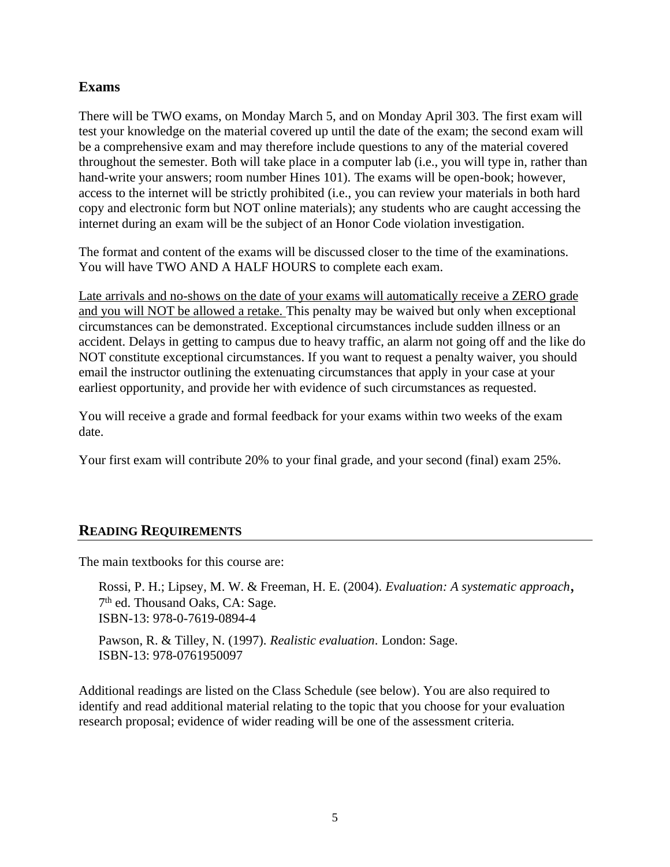### **Exams**

There will be TWO exams, on Monday March 5, and on Monday April 303. The first exam will test your knowledge on the material covered up until the date of the exam; the second exam will be a comprehensive exam and may therefore include questions to any of the material covered throughout the semester. Both will take place in a computer lab (i.e., you will type in, rather than hand-write your answers; room number Hines 101). The exams will be open-book; however, access to the internet will be strictly prohibited (i.e., you can review your materials in both hard copy and electronic form but NOT online materials); any students who are caught accessing the internet during an exam will be the subject of an Honor Code violation investigation.

The format and content of the exams will be discussed closer to the time of the examinations. You will have TWO AND A HALF HOURS to complete each exam.

Late arrivals and no-shows on the date of your exams will automatically receive a ZERO grade and you will NOT be allowed a retake. This penalty may be waived but only when exceptional circumstances can be demonstrated. Exceptional circumstances include sudden illness or an accident. Delays in getting to campus due to heavy traffic, an alarm not going off and the like do NOT constitute exceptional circumstances. If you want to request a penalty waiver, you should email the instructor outlining the extenuating circumstances that apply in your case at your earliest opportunity, and provide her with evidence of such circumstances as requested.

You will receive a grade and formal feedback for your exams within two weeks of the exam date.

Your first exam will contribute 20% to your final grade, and your second (final) exam 25%.

### **READING REQUIREMENTS**

The main textbooks for this course are:

Rossi, P. H.; Lipsey, M. W. & Freeman, H. E. (2004). *Evaluation: A systematic approach*, 7<sup>th</sup> ed. Thousand Oaks, CA: Sage. ISBN-13: 978-0-7619-0894-4

Pawson, R. & Tilley, N. (1997). *Realistic evaluation*. London: Sage. ISBN-13: 978-0761950097

Additional readings are listed on the Class Schedule (see below). You are also required to identify and read additional material relating to the topic that you choose for your evaluation research proposal; evidence of wider reading will be one of the assessment criteria.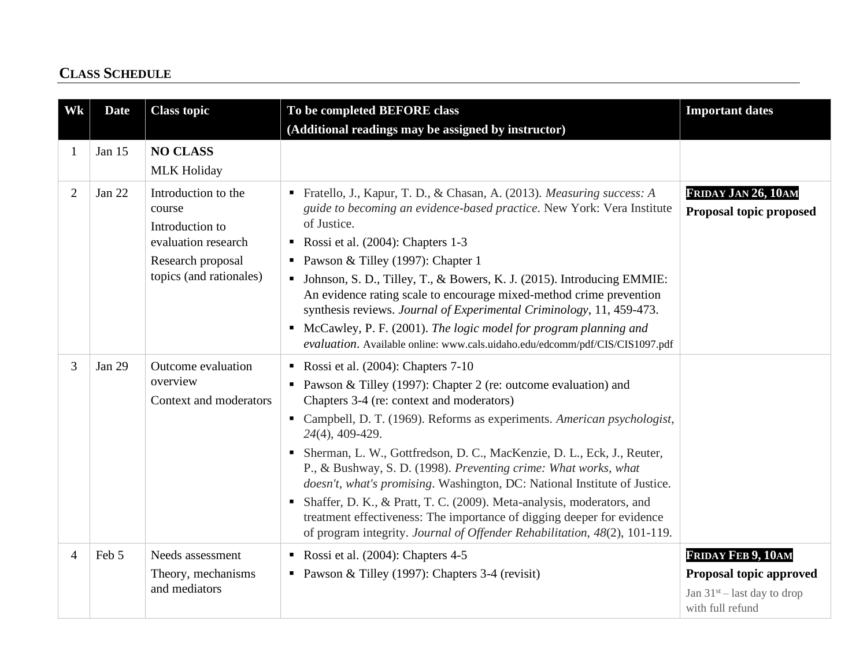# **CLASS SCHEDULE**

| Wk             | <b>Date</b>   | <b>Class topic</b>                                                                                                      | To be completed BEFORE class<br>(Additional readings may be assigned by instructor)                                                                                                                                                                                                                                                                                                                                                                                                                                                                                                                                                                                                                                             | <b>Important dates</b>                                                                             |
|----------------|---------------|-------------------------------------------------------------------------------------------------------------------------|---------------------------------------------------------------------------------------------------------------------------------------------------------------------------------------------------------------------------------------------------------------------------------------------------------------------------------------------------------------------------------------------------------------------------------------------------------------------------------------------------------------------------------------------------------------------------------------------------------------------------------------------------------------------------------------------------------------------------------|----------------------------------------------------------------------------------------------------|
|                | Jan 15        | <b>NO CLASS</b><br><b>MLK Holiday</b>                                                                                   |                                                                                                                                                                                                                                                                                                                                                                                                                                                                                                                                                                                                                                                                                                                                 |                                                                                                    |
| $\overline{2}$ | Jan 22        | Introduction to the<br>course<br>Introduction to<br>evaluation research<br>Research proposal<br>topics (and rationales) | Fratello, J., Kapur, T. D., & Chasan, A. (2013). Measuring success: A<br>guide to becoming an evidence-based practice. New York: Vera Institute<br>of Justice.<br>Rossi et al. $(2004)$ : Chapters 1-3<br>• Pawson & Tilley (1997): Chapter 1<br>• Johnson, S. D., Tilley, T., & Bowers, K. J. (2015). Introducing EMMIE:<br>An evidence rating scale to encourage mixed-method crime prevention<br>synthesis reviews. Journal of Experimental Criminology, 11, 459-473.<br>• McCawley, P. F. (2001). The logic model for program planning and<br>evaluation. Available online: www.cals.uidaho.edu/edcomm/pdf/CIS/CIS1097.pdf                                                                                                  | FRIDAY JAN 26, 10AM<br>Proposal topic proposed                                                     |
| 3              | <b>Jan 29</b> | Outcome evaluation<br>overview<br>Context and moderators                                                                | Rossi et al. $(2004)$ : Chapters 7-10<br>• Pawson & Tilley (1997): Chapter 2 (re: outcome evaluation) and<br>Chapters 3-4 (re: context and moderators)<br>• Campbell, D. T. (1969). Reforms as experiments. American psychologist,<br>24(4), 409-429.<br>Sherman, L. W., Gottfredson, D. C., MacKenzie, D. L., Eck, J., Reuter,<br>P., & Bushway, S. D. (1998). Preventing crime: What works, what<br>doesn't, what's promising. Washington, DC: National Institute of Justice.<br>Shaffer, D. K., & Pratt, T. C. (2009). Meta-analysis, moderators, and<br>$\mathbf{r}$<br>treatment effectiveness: The importance of digging deeper for evidence<br>of program integrity. Journal of Offender Rehabilitation, 48(2), 101-119. |                                                                                                    |
| $\overline{4}$ | Feb 5         | Needs assessment<br>Theory, mechanisms<br>and mediators                                                                 | Rossi et al. $(2004)$ : Chapters 4-5<br>• Pawson & Tilley (1997): Chapters 3-4 (revisit)                                                                                                                                                                                                                                                                                                                                                                                                                                                                                                                                                                                                                                        | FRIDAY FEB 9, 10AM<br>Proposal topic approved<br>Jan $31st$ – last day to drop<br>with full refund |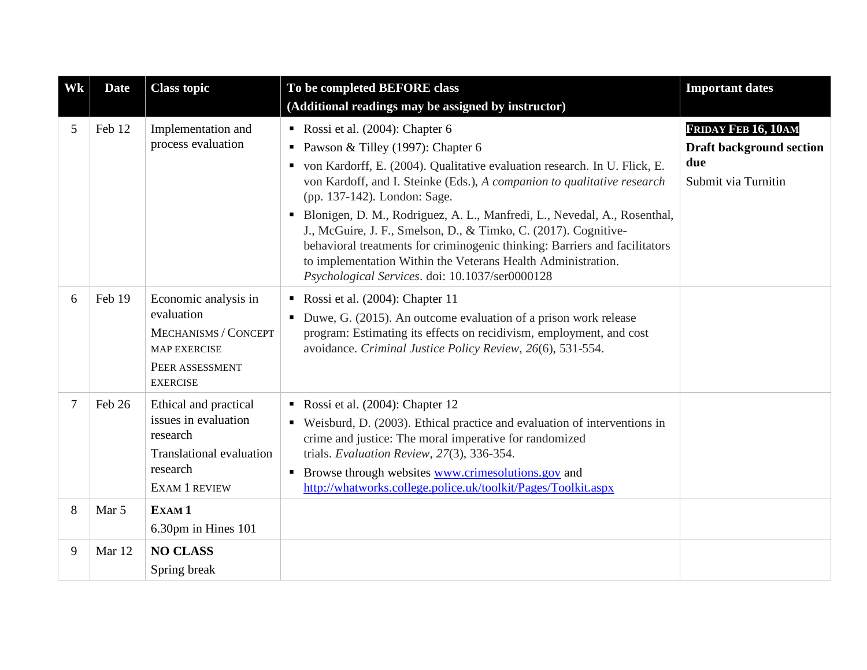| Wk             | <b>Date</b> | <b>Class topic</b>                                                                                                               | To be completed BEFORE class<br>(Additional readings may be assigned by instructor)                                                                                                                                                                                                                                                                                                                                                                                                                                                                                                                                     | <b>Important dates</b>                                                               |
|----------------|-------------|----------------------------------------------------------------------------------------------------------------------------------|-------------------------------------------------------------------------------------------------------------------------------------------------------------------------------------------------------------------------------------------------------------------------------------------------------------------------------------------------------------------------------------------------------------------------------------------------------------------------------------------------------------------------------------------------------------------------------------------------------------------------|--------------------------------------------------------------------------------------|
| 5              | Feb 12      | Implementation and<br>process evaluation                                                                                         | Rossi et al. $(2004)$ : Chapter 6<br>• Pawson & Tilley (1997): Chapter 6<br>• von Kardorff, E. (2004). Qualitative evaluation research. In U. Flick, E.<br>von Kardoff, and I. Steinke (Eds.), A companion to qualitative research<br>(pp. 137-142). London: Sage.<br>Blonigen, D. M., Rodriguez, A. L., Manfredi, L., Nevedal, A., Rosenthal,<br>٠<br>J., McGuire, J. F., Smelson, D., & Timko, C. (2017). Cognitive-<br>behavioral treatments for criminogenic thinking: Barriers and facilitators<br>to implementation Within the Veterans Health Administration.<br>Psychological Services. doi: 10.1037/ser0000128 | FRIDAY FEB 16, 10AM<br><b>Draft background section</b><br>due<br>Submit via Turnitin |
| 6              | Feb 19      | Economic analysis in<br>evaluation<br>MECHANISMS / CONCEPT<br><b>MAP EXERCISE</b><br>PEER ASSESSMENT<br><b>EXERCISE</b>          | Rossi et al. $(2004)$ : Chapter 11<br>• Duwe, G. (2015). An outcome evaluation of a prison work release<br>program: Estimating its effects on recidivism, employment, and cost<br>avoidance. Criminal Justice Policy Review, 26(6), 531-554.                                                                                                                                                                                                                                                                                                                                                                            |                                                                                      |
| $\overline{7}$ | Feb 26      | Ethical and practical<br>issues in evaluation<br>research<br><b>Translational evaluation</b><br>research<br><b>EXAM 1 REVIEW</b> | Rossi et al. $(2004)$ : Chapter 12<br>• Weisburd, D. (2003). Ethical practice and evaluation of interventions in<br>crime and justice: The moral imperative for randomized<br>trials. Evaluation Review, 27(3), 336-354.<br>• Browse through websites www.crimesolutions.gov and<br>http://whatworks.college.police.uk/toolkit/Pages/Toolkit.aspx                                                                                                                                                                                                                                                                       |                                                                                      |
| 8              | Mar 5       | EXAM <sub>1</sub><br>6.30pm in Hines 101                                                                                         |                                                                                                                                                                                                                                                                                                                                                                                                                                                                                                                                                                                                                         |                                                                                      |
| 9              | Mar 12      | <b>NO CLASS</b><br>Spring break                                                                                                  |                                                                                                                                                                                                                                                                                                                                                                                                                                                                                                                                                                                                                         |                                                                                      |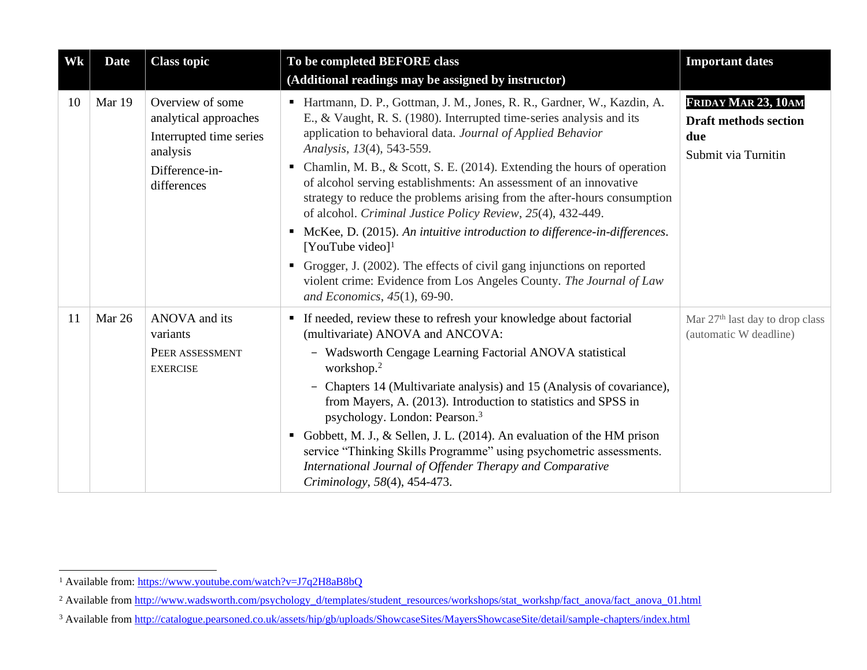| Wk | <b>Date</b> | <b>Class topic</b>                                                                                                | To be completed BEFORE class<br>(Additional readings may be assigned by instructor)                                                                                                                                                                                                                                                                                                                                                                                                                                                                                                                                                                                                                                                                                                                                                                  | <b>Important dates</b>                                                            |
|----|-------------|-------------------------------------------------------------------------------------------------------------------|------------------------------------------------------------------------------------------------------------------------------------------------------------------------------------------------------------------------------------------------------------------------------------------------------------------------------------------------------------------------------------------------------------------------------------------------------------------------------------------------------------------------------------------------------------------------------------------------------------------------------------------------------------------------------------------------------------------------------------------------------------------------------------------------------------------------------------------------------|-----------------------------------------------------------------------------------|
| 10 | Mar 19      | Overview of some<br>analytical approaches<br>Interrupted time series<br>analysis<br>Difference-in-<br>differences | • Hartmann, D. P., Gottman, J. M., Jones, R. R., Gardner, W., Kazdin, A.<br>E., & Vaught, R. S. (1980). Interrupted time-series analysis and its<br>application to behavioral data. Journal of Applied Behavior<br>Analysis, 13(4), 543-559.<br>Chamlin, M. B., & Scott, S. E. (2014). Extending the hours of operation<br>٠.<br>of alcohol serving establishments: An assessment of an innovative<br>strategy to reduce the problems arising from the after-hours consumption<br>of alcohol. Criminal Justice Policy Review, 25(4), 432-449.<br>McKee, D. (2015). An intuitive introduction to difference-in-differences.<br>٠<br>[YouTube video] <sup>1</sup><br>Grogger, J. (2002). The effects of civil gang injunctions on reported<br>٠<br>violent crime: Evidence from Los Angeles County. The Journal of Law<br>and Economics, 45(1), 69-90. | FRIDAY MAR 23, 10AM<br><b>Draft methods section</b><br>due<br>Submit via Turnitin |
| 11 | Mar 26      | ANOVA and its<br>variants<br>PEER ASSESSMENT<br><b>EXERCISE</b>                                                   | • If needed, review these to refresh your knowledge about factorial<br>(multivariate) ANOVA and ANCOVA:<br>- Wadsworth Cengage Learning Factorial ANOVA statistical<br>workshop. $2$<br>- Chapters 14 (Multivariate analysis) and 15 (Analysis of covariance),<br>from Mayers, A. (2013). Introduction to statistics and SPSS in<br>psychology. London: Pearson. <sup>3</sup><br>Gobbett, M. J., & Sellen, J. L. (2014). An evaluation of the HM prison<br>service "Thinking Skills Programme" using psychometric assessments.<br>International Journal of Offender Therapy and Comparative<br>Criminology, 58(4), 454-473.                                                                                                                                                                                                                          | Mar 27 <sup>th</sup> last day to drop class<br>(automatic W deadline)             |

<sup>&</sup>lt;sup>1</sup> Available from:<https://www.youtube.com/watch?v=J7q2H8aB8bQ>

<sup>&</sup>lt;sup>2</sup> Available from [http://www.wadsworth.com/psychology\\_d/templates/student\\_resources/workshops/stat\\_workshp/fact\\_anova/fact\\_anova\\_01.html](http://www.wadsworth.com/psychology_d/templates/student_resources/workshops/stat_workshp/fact_anova/fact_anova_01.html)

<sup>&</sup>lt;sup>3</sup> Available from<http://catalogue.pearsoned.co.uk/assets/hip/gb/uploads/ShowcaseSites/MayersShowcaseSite/detail/sample-chapters/index.html>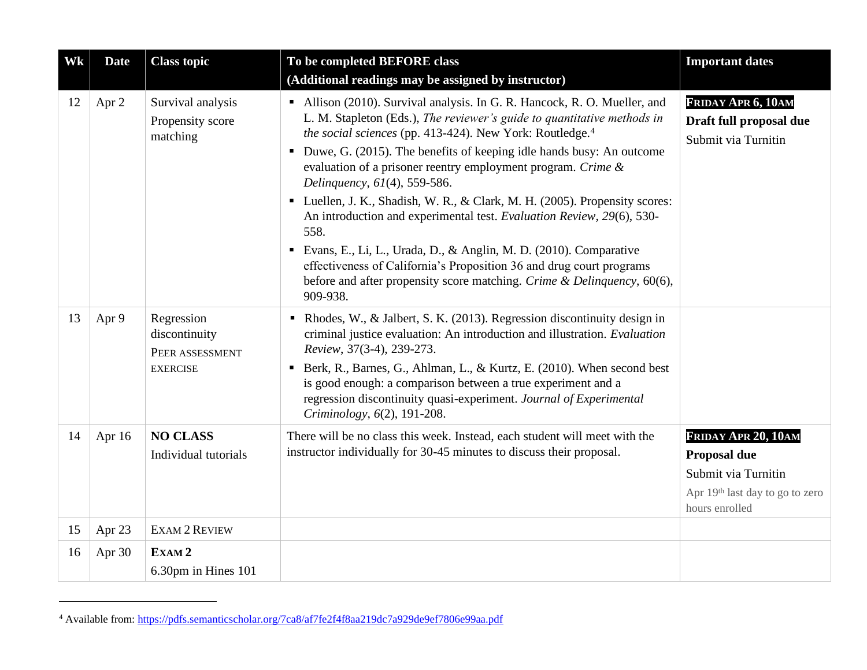| Wk | <b>Date</b> | <b>Class topic</b>                                                | To be completed BEFORE class<br>(Additional readings may be assigned by instructor)                                                                                                                                                                                                                                                                                                                                                                                                                                                                                                                                                                                                                                                                                                                        | <b>Important dates</b>                                                                                          |
|----|-------------|-------------------------------------------------------------------|------------------------------------------------------------------------------------------------------------------------------------------------------------------------------------------------------------------------------------------------------------------------------------------------------------------------------------------------------------------------------------------------------------------------------------------------------------------------------------------------------------------------------------------------------------------------------------------------------------------------------------------------------------------------------------------------------------------------------------------------------------------------------------------------------------|-----------------------------------------------------------------------------------------------------------------|
| 12 | Apr 2       | Survival analysis<br>Propensity score<br>matching                 | • Allison (2010). Survival analysis. In G. R. Hancock, R. O. Mueller, and<br>L. M. Stapleton (Eds.), The reviewer's guide to quantitative methods in<br>the social sciences (pp. 413-424). New York: Routledge. <sup>4</sup><br>• Duwe, G. (2015). The benefits of keeping idle hands busy: An outcome<br>evaluation of a prisoner reentry employment program. Crime &<br>Delinquency, 61(4), 559-586.<br>• Luellen, J. K., Shadish, W. R., & Clark, M. H. (2005). Propensity scores:<br>An introduction and experimental test. Evaluation Review, 29(6), 530-<br>558.<br>Evans, E., Li, L., Urada, D., & Anglin, M. D. (2010). Comparative<br>effectiveness of California's Proposition 36 and drug court programs<br>before and after propensity score matching. Crime & Delinquency, 60(6),<br>909-938. | FRIDAY APR 6, 10AM<br>Draft full proposal due<br>Submit via Turnitin                                            |
| 13 | Apr 9       | Regression<br>discontinuity<br>PEER ASSESSMENT<br><b>EXERCISE</b> | Rhodes, W., & Jalbert, S. K. (2013). Regression discontinuity design in<br>criminal justice evaluation: An introduction and illustration. Evaluation<br>Review, 37(3-4), 239-273.<br>Berk, R., Barnes, G., Ahlman, L., & Kurtz, E. (2010). When second best<br>٠<br>is good enough: a comparison between a true experiment and a<br>regression discontinuity quasi-experiment. Journal of Experimental<br>Criminology, 6(2), 191-208.                                                                                                                                                                                                                                                                                                                                                                      |                                                                                                                 |
| 14 | Apr 16      | <b>NO CLASS</b><br>Individual tutorials                           | There will be no class this week. Instead, each student will meet with the<br>instructor individually for 30-45 minutes to discuss their proposal.                                                                                                                                                                                                                                                                                                                                                                                                                                                                                                                                                                                                                                                         | FRIDAY APR 20, 10AM<br>Proposal due<br>Submit via Turnitin<br>Apr 19th last day to go to zero<br>hours enrolled |
| 15 | Apr 23      | <b>EXAM 2 REVIEW</b>                                              |                                                                                                                                                                                                                                                                                                                                                                                                                                                                                                                                                                                                                                                                                                                                                                                                            |                                                                                                                 |
| 16 | Apr 30      | EXAM <sub>2</sub>                                                 |                                                                                                                                                                                                                                                                                                                                                                                                                                                                                                                                                                                                                                                                                                                                                                                                            |                                                                                                                 |
|    |             | 6.30pm in Hines 101                                               |                                                                                                                                                                                                                                                                                                                                                                                                                                                                                                                                                                                                                                                                                                                                                                                                            |                                                                                                                 |

<sup>4</sup> Available from:<https://pdfs.semanticscholar.org/7ca8/af7fe2f4f8aa219dc7a929de9ef7806e99aa.pdf>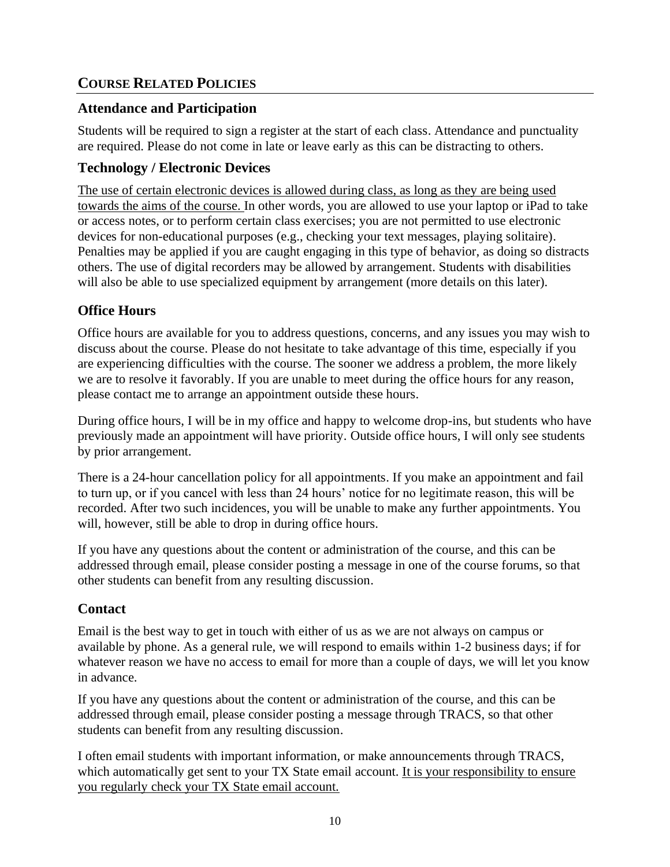# **COURSE RELATED POLICIES**

### **Attendance and Participation**

Students will be required to sign a register at the start of each class. Attendance and punctuality are required. Please do not come in late or leave early as this can be distracting to others.

## **Technology / Electronic Devices**

The use of certain electronic devices is allowed during class, as long as they are being used towards the aims of the course. In other words, you are allowed to use your laptop or iPad to take or access notes, or to perform certain class exercises; you are not permitted to use electronic devices for non-educational purposes (e.g., checking your text messages, playing solitaire). Penalties may be applied if you are caught engaging in this type of behavior, as doing so distracts others. The use of digital recorders may be allowed by arrangement. Students with disabilities will also be able to use specialized equipment by arrangement (more details on this later).

## **Office Hours**

Office hours are available for you to address questions, concerns, and any issues you may wish to discuss about the course. Please do not hesitate to take advantage of this time, especially if you are experiencing difficulties with the course. The sooner we address a problem, the more likely we are to resolve it favorably. If you are unable to meet during the office hours for any reason, please contact me to arrange an appointment outside these hours.

During office hours, I will be in my office and happy to welcome drop-ins, but students who have previously made an appointment will have priority. Outside office hours, I will only see students by prior arrangement.

There is a 24-hour cancellation policy for all appointments. If you make an appointment and fail to turn up, or if you cancel with less than 24 hours' notice for no legitimate reason, this will be recorded. After two such incidences, you will be unable to make any further appointments. You will, however, still be able to drop in during office hours.

If you have any questions about the content or administration of the course, and this can be addressed through email, please consider posting a message in one of the course forums, so that other students can benefit from any resulting discussion.

### **Contact**

Email is the best way to get in touch with either of us as we are not always on campus or available by phone. As a general rule, we will respond to emails within 1-2 business days; if for whatever reason we have no access to email for more than a couple of days, we will let you know in advance.

If you have any questions about the content or administration of the course, and this can be addressed through email, please consider posting a message through TRACS, so that other students can benefit from any resulting discussion.

I often email students with important information, or make announcements through TRACS, which automatically get sent to your TX State email account. It is your responsibility to ensure you regularly check your TX State email account.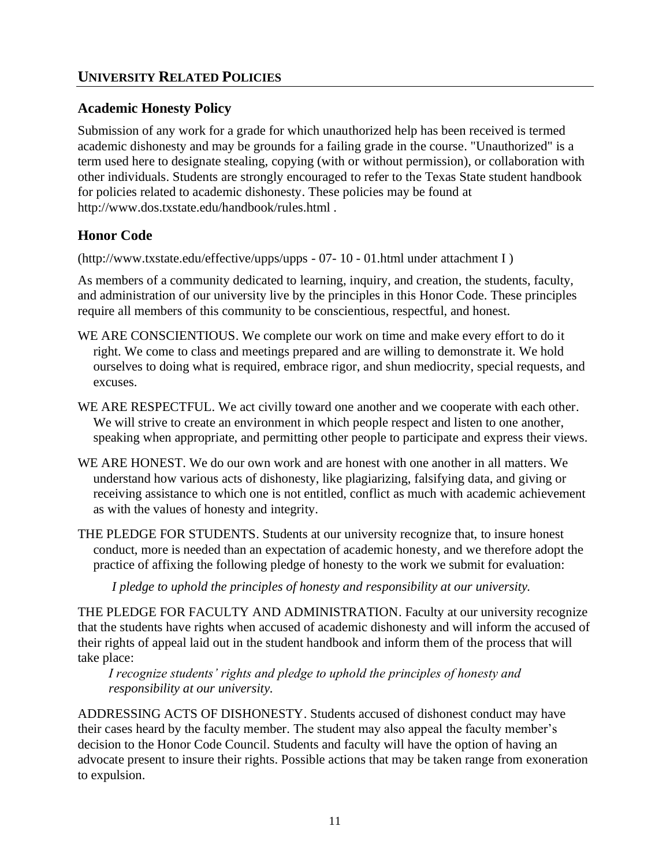## **Academic Honesty Policy**

Submission of any work for a grade for which unauthorized help has been received is termed academic dishonesty and may be grounds for a failing grade in the course. "Unauthorized" is a term used here to designate stealing, copying (with or without permission), or collaboration with other individuals. Students are strongly encouraged to refer to the Texas State student handbook for policies related to academic dishonesty. These policies may be found at http://www.dos.txstate.edu/handbook/rules.html .

# **Honor Code**

(http://www.txstate.edu/effective/upps/upps - 07- 10 - 01.html under attachment I )

As members of a community dedicated to learning, inquiry, and creation, the students, faculty, and administration of our university live by the principles in this Honor Code. These principles require all members of this community to be conscientious, respectful, and honest.

- WE ARE CONSCIENTIOUS. We complete our work on time and make every effort to do it right. We come to class and meetings prepared and are willing to demonstrate it. We hold ourselves to doing what is required, embrace rigor, and shun mediocrity, special requests, and excuses.
- WE ARE RESPECTFUL. We act civilly toward one another and we cooperate with each other. We will strive to create an environment in which people respect and listen to one another, speaking when appropriate, and permitting other people to participate and express their views.
- WE ARE HONEST. We do our own work and are honest with one another in all matters. We understand how various acts of dishonesty, like plagiarizing, falsifying data, and giving or receiving assistance to which one is not entitled, conflict as much with academic achievement as with the values of honesty and integrity.
- THE PLEDGE FOR STUDENTS. Students at our university recognize that, to insure honest conduct, more is needed than an expectation of academic honesty, and we therefore adopt the practice of affixing the following pledge of honesty to the work we submit for evaluation:

*I pledge to uphold the principles of honesty and responsibility at our university.*

THE PLEDGE FOR FACULTY AND ADMINISTRATION. Faculty at our university recognize that the students have rights when accused of academic dishonesty and will inform the accused of their rights of appeal laid out in the student handbook and inform them of the process that will take place:

*I recognize students' rights and pledge to uphold the principles of honesty and responsibility at our university.*

ADDRESSING ACTS OF DISHONESTY. Students accused of dishonest conduct may have their cases heard by the faculty member. The student may also appeal the faculty member's decision to the Honor Code Council. Students and faculty will have the option of having an advocate present to insure their rights. Possible actions that may be taken range from exoneration to expulsion.